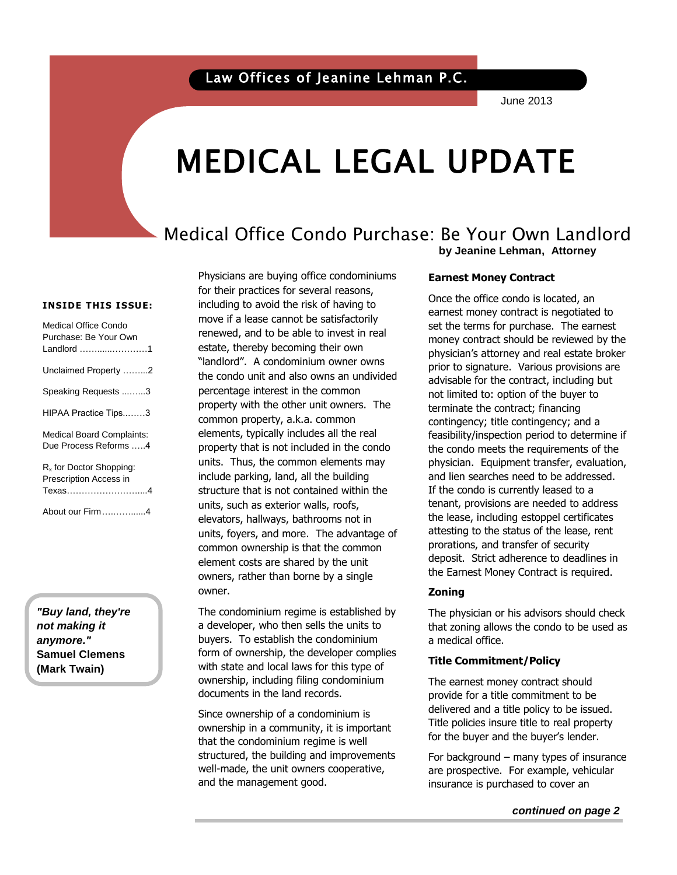June 2013

# MEDICAL LEGAL UPDATE

## Medical Office Condo Purchase: Be Your Own Landlord **by Jeanine Lehman, Attorney**

#### **INSIDE THIS ISSUE:**

| Medical Office Condo             |
|----------------------------------|
| Purchase: Be Your Own            |
| Landlord 1                       |
| Unclaimed Property 2             |
| Speaking Requests 3              |
| HIPAA Practice Tips3             |
| <b>Medical Board Complaints:</b> |
| Due Process Reforms 4            |
|                                  |
| $Rx$ for Doctor Shopping:        |
| Prescription Access in           |
| Texas4                           |
| About our Firm4                  |

*"Buy land, they're not making it anymore."* **Samuel Clemens (Mark Twain)**

Physicians are buying office condominiums for their practices for several reasons, including to avoid the risk of having to move if a lease cannot be satisfactorily renewed, and to be able to invest in real estate, thereby becoming their own "landlord". A condominium owner owns the condo unit and also owns an undivided percentage interest in the common property with the other unit owners. The common property, a.k.a. common elements, typically includes all the real property that is not included in the condo units. Thus, the common elements may include parking, land, all the building structure that is not contained within the units, such as exterior walls, roofs, elevators, hallways, bathrooms not in units, foyers, and more. The advantage of common ownership is that the common element costs are shared by the unit owners, rather than borne by a single owner.

The condominium regime is established by a developer, who then sells the units to buyers. To establish the condominium form of ownership, the developer complies with state and local laws for this type of ownership, including filing condominium documents in the land records.

Since ownership of a condominium is ownership in a community, it is important that the condominium regime is well structured, the building and improvements well-made, the unit owners cooperative, and the management good.

#### **Earnest Money Contract**

Once the omce condo is located, an<br>earnest money contract is negotiated to bet the terms for parentsse. The camest prior to signature. Various provisions are Once the office condo is located, an set the terms for purchase. The earnest physician's attorney and real estate broker advisable for the contract, including but not limited to: option of the buyer to terminate the contract; financing contingency; title contingency; and a feasibility/inspection period to determine if the condo meets the requirements of the physician. Equipment transfer, evaluation, and lien searches need to be addressed. If the condo is currently leased to a tenant, provisions are needed to address the lease, including estoppel certificates attesting to the status of the lease, rent prorations, and transfer of security deposit. Strict adherence to deadlines in the Earnest Money Contract is required.

#### **Zoning**

The physician or his advisors should check that zoning allows the condo to be used as a medical office.

#### **Title Commitment/Policy**

The earnest money contract should provide for a title commitment to be delivered and a title policy to be issued. Title policies insure title to real property for the buyer and the buyer's lender.

For background – many types of insurance are prospective. For example, vehicular insurance is purchased to cover an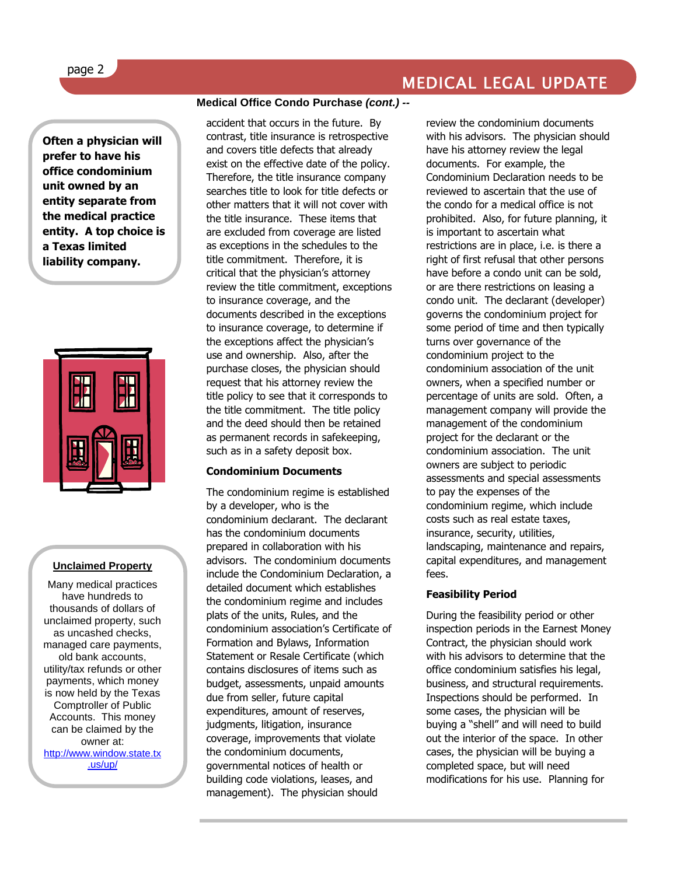# MEDICAL LEGAL UPDATE

**Often a physician will prefer to have his office condominium unit owned by an entity separate from the medical practice entity. A top choice is a Texas limited liability company.** 



#### **Unclaimed Property**

Many medical practices have hundreds to thousands of dollars of unclaimed property, such as uncashed checks, managed care payments, old bank accounts, utility/tax refunds or other payments, which money is now held by the Texas Comptroller of Public Accounts. This money can be claimed by the owner at: [http://www.window.state.tx](http://www.window.state.tx.us/up/)

[.us/up/](http://www.window.state.tx.us/up/)

#### **Medical Office Condo Purchase** *(cont.) --*

accident that occurs in the future. By contrast, title insurance is retrospective and covers title defects that already exist on the effective date of the policy. Therefore, the title insurance company searches title to look for title defects or other matters that it will not cover with the title insurance. These items that are excluded from coverage are listed as exceptions in the schedules to the title commitment. Therefore, it is critical that the physician's attorney review the title commitment, exceptions to insurance coverage, and the documents described in the exceptions to insurance coverage, to determine if the exceptions affect the physician's use and ownership. Also, after the purchase closes, the physician should request that his attorney review the title policy to see that it corresponds to the title commitment. The title policy and the deed should then be retained as permanent records in safekeeping, such as in a safety deposit box.

#### **Condominium Documents**

The condominium regime is established by a developer, who is the condominium declarant. The declarant has the condominium documents prepared in collaboration with his advisors. The condominium documents include the Condominium Declaration, a detailed document which establishes the condominium regime and includes plats of the units, Rules, and the condominium association's Certificate of Formation and Bylaws, Information Statement or Resale Certificate (which contains disclosures of items such as budget, assessments, unpaid amounts due from seller, future capital expenditures, amount of reserves, judgments, litigation, insurance coverage, improvements that violate the condominium documents, governmental notices of health or building code violations, leases, and management). The physician should

review the condominium documents with his advisors. The physician should have his attorney review the legal documents. For example, the Condominium Declaration needs to be reviewed to ascertain that the use of the condo for a medical office is not prohibited. Also, for future planning, it is important to ascertain what restrictions are in place, i.e. is there a right of first refusal that other persons have before a condo unit can be sold, or are there restrictions on leasing a condo unit. The declarant (developer) governs the condominium project for some period of time and then typically turns over governance of the condominium project to the condominium association of the unit owners, when a specified number or percentage of units are sold. Often, a management company will provide the management of the condominium project for the declarant or the condominium association. The unit owners are subject to periodic assessments and special assessments to pay the expenses of the condominium regime, which include costs such as real estate taxes, insurance, security, utilities, landscaping, maintenance and repairs, capital expenditures, and management fees.

#### **Feasibility Period**

During the feasibility period or other inspection periods in the Earnest Money Contract, the physician should work with his advisors to determine that the office condominium satisfies his legal, business, and structural requirements. Inspections should be performed. In some cases, the physician will be buying a "shell" and will need to build out the interior of the space. In other cases, the physician will be buying a completed space, but will need modifications for his use. Planning for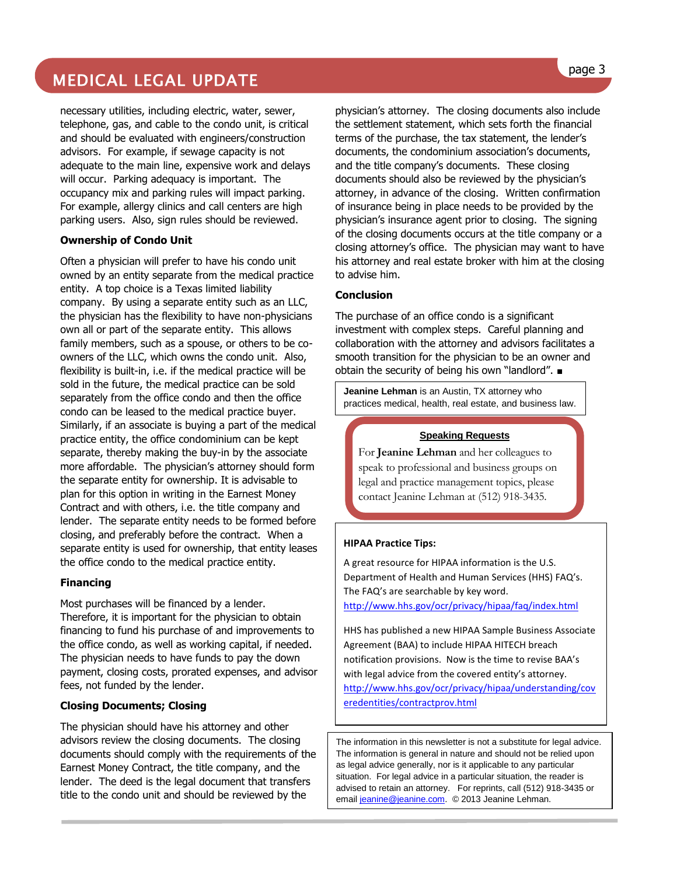# MEDICAL LEGAL UPDATE

necessary utilities, including electric, water, sewer, telephone, gas, and cable to the condo unit, is critical and should be evaluated with engineers/construction advisors. For example, if sewage capacity is not adequate to the main line, expensive work and delays will occur. Parking adequacy is important. The occupancy mix and parking rules will impact parking. For example, allergy clinics and call centers are high parking users. Also, sign rules should be reviewed.

#### **Ownership of Condo Unit**

Often a physician will prefer to have his condo unit owned by an entity separate from the medical practice entity. A top choice is a Texas limited liability company. By using a separate entity such as an LLC, the physician has the flexibility to have non-physicians own all or part of the separate entity. This allows family members, such as a spouse, or others to be coowners of the LLC, which owns the condo unit. Also, flexibility is built-in, i.e. if the medical practice will be sold in the future, the medical practice can be sold separately from the office condo and then the office condo can be leased to the medical practice buyer. Similarly, if an associate is buying a part of the medical practice entity, the office condominium can be kept separate, thereby making the buy-in by the associate more affordable. The physician's attorney should form the separate entity for ownership. It is advisable to plan for this option in writing in the Earnest Money Contract and with others, i.e. the title company and lender. The separate entity needs to be formed before closing, and preferably before the contract. When a separate entity is used for ownership, that entity leases the office condo to the medical practice entity.

#### **Financing**

Most purchases will be financed by a lender. Therefore, it is important for the physician to obtain financing to fund his purchase of and improvements to the office condo, as well as working capital, if needed. The physician needs to have funds to pay the down payment, closing costs, prorated expenses, and advisor fees, not funded by the lender.

#### **Closing Documents; Closing**

The physician should have his attorney and other advisors review the closing documents. The closing documents should comply with the requirements of the Earnest Money Contract, the title company, and the lender. The deed is the legal document that transfers title to the condo unit and should be reviewed by the

physician's attorney. The closing documents also include the settlement statement, which sets forth the financial terms of the purchase, the tax statement, the lender's documents, the condominium association's documents, and the title company's documents. These closing documents should also be reviewed by the physician's attorney, in advance of the closing. Written confirmation of insurance being in place needs to be provided by the physician's insurance agent prior to closing. The signing of the closing documents occurs at the title company or a closing attorney's office. The physician may want to have his attorney and real estate broker with him at the closing to advise him.

#### **Conclusion**

The purchase of an office condo is a significant investment with complex steps. Careful planning and collaboration with the attorney and advisors facilitates a smooth transition for the physician to be an owner and obtain the security of being his own "landlord". ■

**Jeanine Lehman** is an Austin, TX attorney who practices medical, health, real estate, and business law.

#### **Speaking Requests**

For **Jeanine Lehman** and her colleagues to speak to professional and business groups on legal and practice management topics, please contact Jeanine Lehman at (512) 918-3435.

#### **HIPAA Practice Tips:**

A great resource for HIPAA information is the U.S. Department of Health and Human Services (HHS) FAQ's. The FAQ's are searchable by key word. <http://www.hhs.gov/ocr/privacy/hipaa/faq/index.html>

HHS has published a new HIPAA Sample Business Associate Agreement (BAA) to include HIPAA HITECH breach notification provisions. Now is the time to revise BAA's with legal advice from the covered entity's attorney. [http://www.hhs.gov/ocr/privacy/hipaa/understanding/cov](http://www.hhs.gov/ocr/privacy/hipaa/understanding/coveredentities/contractprov.html) [eredentities/contractprov.html](http://www.hhs.gov/ocr/privacy/hipaa/understanding/coveredentities/contractprov.html)

The information in this newsletter is not a substitute for legal advice. The information is general in nature and should not be relied upon as legal advice generally, nor is it applicable to any particular situation. For legal advice in a particular situation, the reader is advised to retain an attorney. For reprints, call (512) 918-3435 or emai[l jeanine@jeanine.com.](mailto:jeanine@jeanine.com) © 2013 Jeanine Lehman.